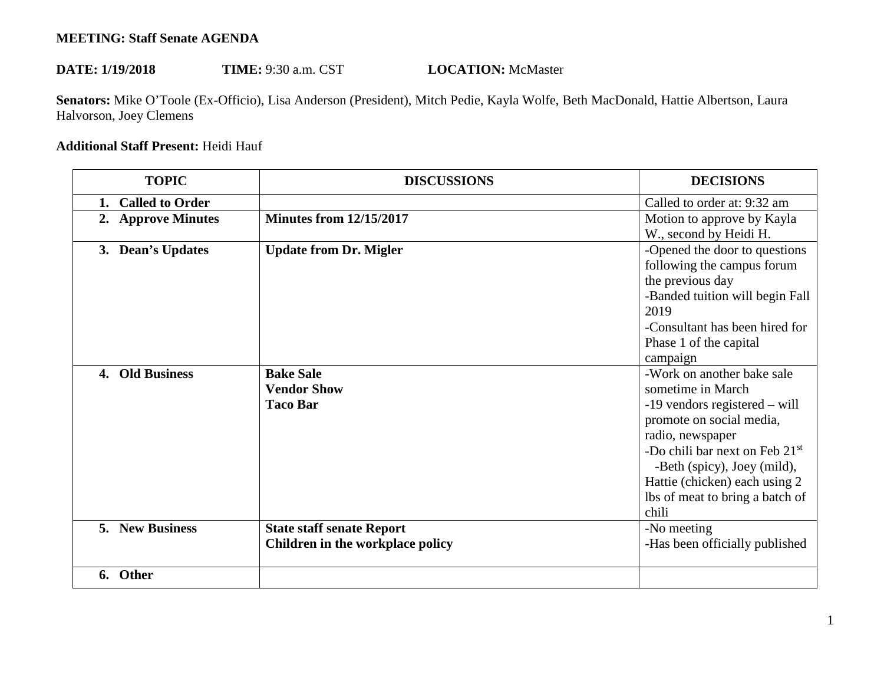## **MEETING: Staff Senate AGENDA**

## DATE:  $1/19/2018$ TIME: 9:30 a.m. CST **LOCATION:** McMaster

Senators: Mike O'Toole (Ex-Officio), Lisa Anderson (President), Mitch Pedie, Kayla Wolfe, Beth MacDonald, Hattie Albertson, Laura Halvorson, Joey Clemens

## **Additional Staff Present:** Heidi Hauf

| <b>TOPIC</b>           | <b>DISCUSSIONS</b>                                                   | <b>DECISIONS</b>                                                                                                                                                                                                                                                                 |
|------------------------|----------------------------------------------------------------------|----------------------------------------------------------------------------------------------------------------------------------------------------------------------------------------------------------------------------------------------------------------------------------|
| <b>Called to Order</b> |                                                                      | Called to order at: 9:32 am                                                                                                                                                                                                                                                      |
| 2. Approve Minutes     | <b>Minutes from 12/15/2017</b>                                       | Motion to approve by Kayla<br>W., second by Heidi H.                                                                                                                                                                                                                             |
| 3. Dean's Updates      | <b>Update from Dr. Migler</b>                                        | -Opened the door to questions<br>following the campus forum<br>the previous day<br>-Banded tuition will begin Fall<br>2019<br>-Consultant has been hired for<br>Phase 1 of the capital<br>campaign                                                                               |
| 4. Old Business        | <b>Bake Sale</b><br><b>Vendor Show</b><br><b>Taco Bar</b>            | -Work on another bake sale<br>sometime in March<br>$-19$ vendors registered – will<br>promote on social media,<br>radio, newspaper<br>-Do chili bar next on Feb 21st<br>-Beth (spicy), Joey (mild),<br>Hattie (chicken) each using 2<br>lbs of meat to bring a batch of<br>chili |
| <b>5. New Business</b> | <b>State staff senate Report</b><br>Children in the workplace policy | -No meeting<br>-Has been officially published                                                                                                                                                                                                                                    |
| 6. Other               |                                                                      |                                                                                                                                                                                                                                                                                  |